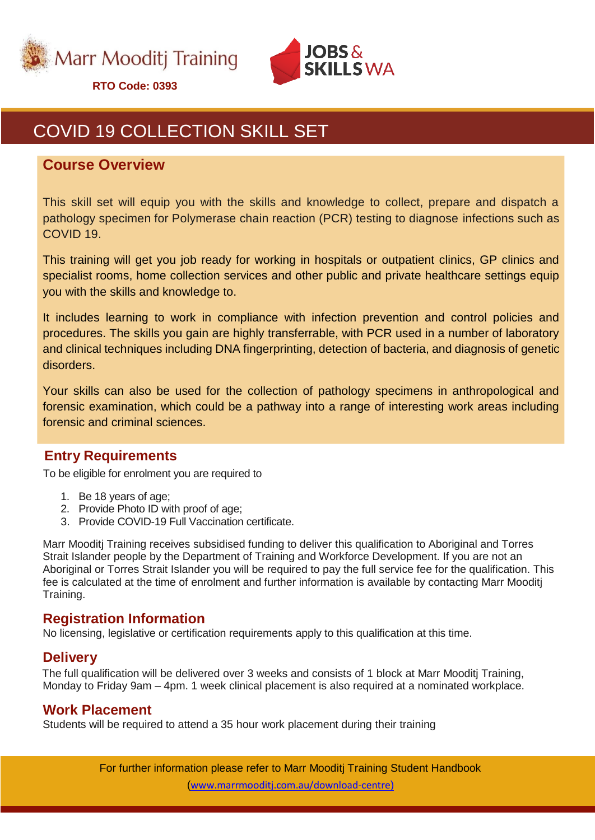



## COVID 19 COLLECTION SKILL SET

#### **Course Overview**

This skill set will equip you with the skills and knowledge to collect, prepare and dispatch a pathology specimen for Polymerase chain reaction (PCR) testing to diagnose infections such as COVID 19.

This training will get you job ready for working in hospitals or outpatient clinics, GP clinics and specialist rooms, home collection services and other public and private healthcare settings equip you with the skills and knowledge to.

It includes learning to work in compliance with infection prevention and control policies and procedures. The skills you gain are highly transferrable, with PCR used in a number of laboratory and clinical techniques including DNA fingerprinting, detection of bacteria, and diagnosis of genetic disorders.

Your skills can also be used for the collection of pathology specimens in anthropological and forensic examination, which could be a pathway into a range of interesting work areas including forensic and criminal sciences.

## **Entry Requirements**

To be eligible for enrolment you are required to

- 1. Be 18 years of age;
- 2. Provide Photo ID with proof of age;
- 3. Provide COVID-19 Full Vaccination certificate.

Marr Mooditj Training receives subsidised funding to deliver this qualification to Aboriginal and Torres Strait Islander people by the Department of Training and Workforce Development. If you are not an Aboriginal or Torres Strait Islander you will be required to pay the full service fee for the qualification. This fee is calculated at the time of enrolment and further information is available by contacting Marr Mooditj Training.

## **Registration Information**

No licensing, legislative or certification requirements apply to this qualification at this time.

#### **Delivery**

The full qualification will be delivered over 3 weeks and consists of 1 block at Marr Mooditj Training, Monday to Friday 9am – 4pm. 1 week clinical placement is also required at a nominated workplace.

#### **Work Placement**

Students will be required to attend a 35 hour work placement during their training